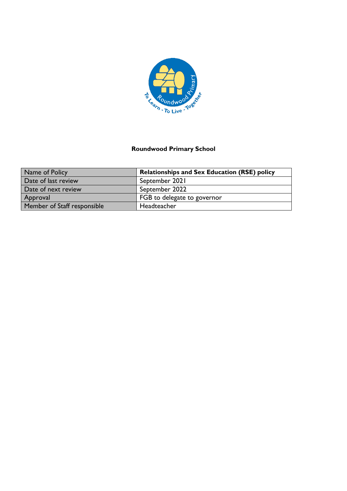

# **Roundwood Primary School**

| Name of Policy              | <b>Relationships and Sex Education (RSE) policy</b> |
|-----------------------------|-----------------------------------------------------|
| Date of last review         | September 2021                                      |
| Date of next review         | September 2022                                      |
| Approval                    | FGB to delegate to governor                         |
| Member of Staff responsible | Headteacher                                         |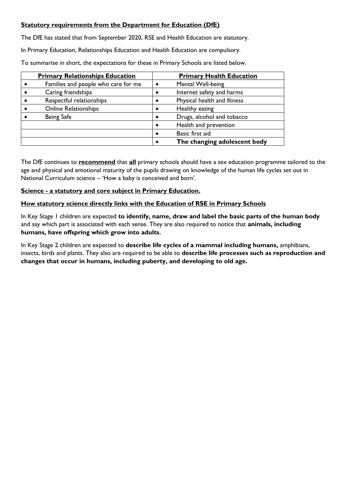### **Statutory requirements from the Department for Education (DfE)**

The DfE has stated that from September 2020, RSE and Health Education are statutory.

In Primary Education, Relationships Education and Health Education are compulsory.

To summarise in short, the expectations for these in Primary Schools are listed below.

| <b>Primary Relationships Education</b> | <b>Primary Health Education</b> |                              |  |  |
|----------------------------------------|---------------------------------|------------------------------|--|--|
| Families and people who care for me    | $\bullet$                       | Mental Well-being            |  |  |
| Caring friendships                     | $\bullet$                       | Internet safety and harms    |  |  |
| Respectful relationships               | $\bullet$                       | Physical health and fitness  |  |  |
| <b>Online Relationships</b>            | $\bullet$                       | Healthy eating               |  |  |
| <b>Being Safe</b>                      | $\bullet$                       | Drugs, alcohol and tobacco   |  |  |
|                                        | $\bullet$                       | Health and prevention        |  |  |
|                                        | $\bullet$                       | Basic first aid              |  |  |
|                                        | $\bullet$                       | The changing adolescent body |  |  |

The DfE continues to **recommend** that **all** primary schools should have a sex education programme tailored to the age and physical and emotional maturity of the pupils drawing on knowledge of the human life cycles set out in National Curriculum science – 'How a baby is conceived and born'.

### **Science - a statutory and core subject in Primary Education.**

### **How statutory science directly links with the Education of RSE in Primary Schools**

In Key Stage 1 children are expected **to identify, name, draw and label the basic parts of the human body** and say which part is associated with each sense. They are also required to notice that **animals, including humans, have offspring which grow into adults.**

In Key Stage 2 children are expected to **describe life cycles of a mammal including humans,** amphibians, insects, birds and plants. They also are required to be able to **describe life processes such as reproduction and changes that occur in humans, including puberty, and developing to old age.**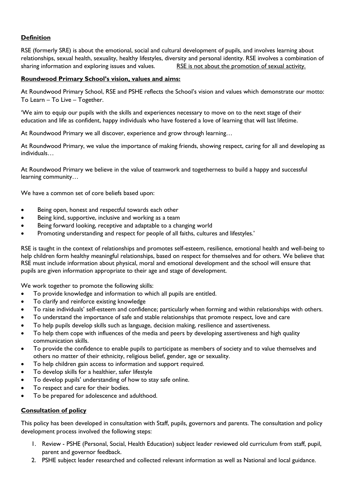## **Definition**

RSE (formerly SRE) is about the emotional, social and cultural development of pupils, and involves learning about relationships, sexual health, sexuality, healthy lifestyles, diversity and personal identity. RSE involves a combination of sharing information and exploring issues and values. RSE is not about the promotion of sexual activity.

#### **Roundwood Primary School's vision, values and aims:**

At Roundwood Primary School, RSE and PSHE reflects the School's vision and values which demonstrate our motto: To Learn – To Live – Together.

'We aim to equip our pupils with the skills and experiences necessary to move on to the next stage of their education and life as confident, happy individuals who have fostered a love of learning that will last lifetime.

At Roundwood Primary we all discover, experience and grow through learning…

At Roundwood Primary, we value the importance of making friends, showing respect, caring for all and developing as individuals…

At Roundwood Primary we believe in the value of teamwork and togetherness to build a happy and successful learning community…

We have a common set of core beliefs based upon:

- Being open, honest and respectful towards each other
- Being kind, supportive, inclusive and working as a team
- Being forward looking, receptive and adaptable to a changing world
- Promoting understanding and respect for people of all faiths, cultures and lifestyles.'

RSE is taught in the context of relationships and promotes self-esteem, resilience, emotional health and well-being to help children form healthy meaningful relationships, based on respect for themselves and for others. We believe that RSE must include information about physical, moral and emotional development and the school will ensure that pupils are given information appropriate to their age and stage of development.

We work together to promote the following skills:

- To provide knowledge and information to which all pupils are entitled.
- To clarify and reinforce existing knowledge
- To raise individuals' self-esteem and confidence; particularly when forming and within relationships with others.
- To understand the importance of safe and stable relationships that promote respect, love and care
- To help pupils develop skills such as language, decision making, resilience and assertiveness.
- To help them cope with influences of the media and peers by developing assertiveness and high quality communication skills.
- To provide the confidence to enable pupils to participate as members of society and to value themselves and others no matter of their ethnicity, religious belief, gender, age or sexuality.
- To help children gain access to information and support required.
- To develop skills for a healthier, safer lifestyle
- To develop pupils' understanding of how to stay safe online.
- To respect and care for their bodies.
- To be prepared for adolescence and adulthood.

#### **Consultation of policy**

This policy has been developed in consultation with Staff, pupils, governors and parents. The consultation and policy development process involved the following steps:

- 1. Review PSHE (Personal, Social, Health Education) subject leader reviewed old curriculum from staff, pupil, parent and governor feedback.
- 2. PSHE subject leader researched and collected relevant information as well as National and local guidance.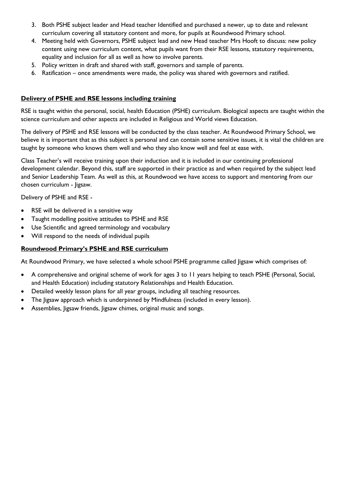- 3. Both PSHE subject leader and Head teacher Identified and purchased a newer, up to date and relevant curriculum covering all statutory content and more, for pupils at Roundwood Primary school.
- 4. Meeting held with Governors, PSHE subject lead and new Head teacher Mrs Hooft to discuss: new policy content using new curriculum content, what pupils want from their RSE lessons, statutory requirements, equality and inclusion for all as well as how to involve parents.
- 5. Policy written in draft and shared with staff, governors and sample of parents.
- 6. Ratification once amendments were made, the policy was shared with governors and ratified.

#### **Delivery of PSHE and RSE lessons including training**

RSE is taught within the personal, social, health Education (PSHE) curriculum. Biological aspects are taught within the science curriculum and other aspects are included in Religious and World views Education.

The delivery of PSHE and RSE lessons will be conducted by the class teacher. At Roundwood Primary School, we believe it is important that as this subject is personal and can contain some sensitive issues, it is vital the children are taught by someone who knows them well and who they also know well and feel at ease with.

Class Teacher's will receive training upon their induction and it is included in our continuing professional development calendar. Beyond this, staff are supported in their practice as and when required by the subject lead and Senior Leadership Team. As well as this, at Roundwood we have access to support and mentoring from our chosen curriculum - Jigsaw.

Delivery of PSHE and RSE -

- RSE will be delivered in a sensitive way
- Taught modelling positive attitudes to PSHE and RSE
- Use Scientific and agreed terminology and vocabulary
- Will respond to the needs of individual pupils

#### **Roundwood Primary's PSHE and RSE curriculum**

At Roundwood Primary, we have selected a whole school PSHE programme called Jigsaw which comprises of:

- A comprehensive and original scheme of work for ages 3 to 11 years helping to teach PSHE (Personal, Social, and Health Education) including statutory Relationships and Health Education.
- Detailed weekly lesson plans for all year groups, including all teaching resources.
- The Jigsaw approach which is underpinned by Mindfulness (included in every lesson).
- Assemblies, Jigsaw friends, Jigsaw chimes, original music and songs.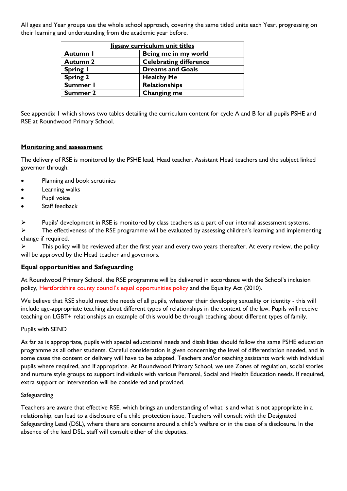All ages and Year groups use the whole school approach, covering the same titled units each Year, progressing on their learning and understanding from the academic year before.

| Jigsaw curriculum unit titles    |                               |  |  |  |
|----------------------------------|-------------------------------|--|--|--|
| Being me in my world<br>Autumn I |                               |  |  |  |
| <b>Autumn 2</b>                  | <b>Celebrating difference</b> |  |  |  |
| <b>Spring I</b>                  | <b>Dreams and Goals</b>       |  |  |  |
| <b>Spring 2</b>                  | <b>Healthy Me</b>             |  |  |  |
| Summer I                         | <b>Relationships</b>          |  |  |  |
| Summer 2                         | Changing me                   |  |  |  |

See appendix 1 which shows two tables detailing the curriculum content for cycle A and B for all pupils PSHE and RSE at Roundwood Primary School.

#### **Monitoring and assessment**

The delivery of RSE is monitored by the PSHE lead, Head teacher, Assistant Head teachers and the subject linked governor through:

- Planning and book scrutinies
- Learning walks
- Pupil voice
- Staff feedback

 $\triangleright$  Pupils' development in RSE is monitored by class teachers as a part of our internal assessment systems.

 $\triangleright$  The effectiveness of the RSE programme will be evaluated by assessing children's learning and implementing change if required.

➢ This policy will be reviewed after the first year and every two years thereafter. At every review, the policy will be approved by the Head teacher and governors.

#### **Equal opportunities and Safeguarding**

At Roundwood Primary School, the RSE programme will be delivered in accordance with the School's inclusion policy, Hertfordshire county council's equal opportunities policy and the Equality Act (2010).

We believe that RSE should meet the needs of all pupils, whatever their developing sexuality or identity - this will include age-appropriate teaching about different types of relationships in the context of the law. Pupils will receive teaching on LGBT+ relationships an example of this would be through teaching about different types of family.

#### Pupils with SEND

As far as is appropriate, pupils with special educational needs and disabilities should follow the same PSHE education programme as all other students. Careful consideration is given concerning the level of differentiation needed, and in some cases the content or delivery will have to be adapted. Teachers and/or teaching assistants work with individual pupils where required, and if appropriate. At Roundwood Primary School, we use Zones of regulation, social stories and nurture style groups to support individuals with various Personal, Social and Health Education needs. If required, extra support or intervention will be considered and provided.

#### **Safeguarding**

Teachers are aware that effective RSE, which brings an understanding of what is and what is not appropriate in a relationship, can lead to a disclosure of a child protection issue. Teachers will consult with the Designated Safeguarding Lead (DSL), where there are concerns around a child's welfare or in the case of a disclosure. In the absence of the lead DSL, staff will consult either of the deputies.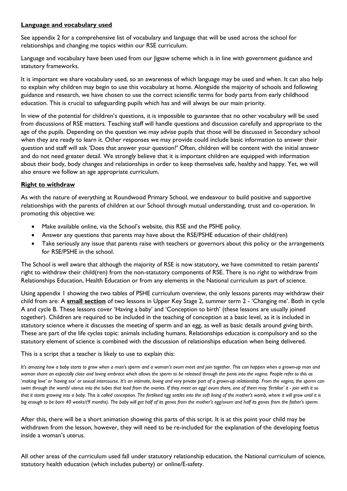#### **Language and vocabulary used**

See appendix 2 for a comprehensive list of vocabulary and language that will be used across the school for relationships and changing me topics within our RSE curriculum.

Language and vocabulary have been used from our Jigsaw scheme which is in line with government guidance and statutory frameworks.

It is important we share vocabulary used, so an awareness of which language may be used and when. It can also help to explain why children may begin to use this vocabulary at home. Alongside the majority of schools and following guidance and research, we have chosen to use the correct scientific terms for body parts from early childhood education. This is crucial to safeguarding pupils which has and will always be our main priority.

In view of the potential for children's questions, it is impossible to guarantee that no other vocabulary will be used from discussions of RSE matters. Teaching staff will handle questions and discussion carefully and appropriate to the age of the pupils. Depending on the question we may advise pupils that those will be discussed in Secondary school when they are ready to learn it. Other responses we may provide could include basic information to answer their question and staff will ask 'Does that answer your question?' Often, children will be content with the initial answer and do not need greater detail. We strongly believe that it is important children are equipped with information about their body, body changes and relationships in order to keep themselves safe, healthy and happy. Yet, we will also ensure we follow an age appropriate curriculum.

### **Right to withdraw**

As with the nature of everything at Roundwood Primary School, we endeavour to build positive and supportive relationships with the parents of children at our School through mutual understanding, trust and co-operation. In promoting this objective we:

- Make available online, via the School's website, this RSE and the PSHE policy.
- Answer any questions that parents may have about the RSE/PSHE education of their child(ren)
- Take seriously any issue that parents raise with teachers or governors about this policy or the arrangements for RSE/PSHE in the school.

The School is well aware that although the majority of RSE is now statutory, we have committed to retain parents' right to withdraw their child(ren) from the non-statutory components of RSE. There is no right to withdraw from Relationships Education, Health Education or from any elements in the National curriculum as part of science.

Using appendix 1 showing the two tables of PSHE curriculum overview, the only lessons parents may withdraw their child from are: A **small section** of two lessons in Upper Key Stage 2, summer term 2 - 'Changing me'. Both in cycle A and cycle B. These lessons cover 'Having a baby' and 'Conception to birth' (these lessons are usually joined together). Children are required to be included in the teaching of conception at a basic level, as it is included in statutory science where it discusses the meeting of sperm and an egg, as well as basic details around giving birth. These are part of the life cycles topic: animals including humans. Relationships education is compulsory and so the statutory element of science is combined with the discussion of relationships education when being delivered.

#### This is a script that a teacher is likely to use to explain this:

*It's amazing how a baby starts to grow when a man's sperm and a woman's ovum meet and join together. This can happen when a grown-up man and woman share an especially close and loving embrace which allows the sperm to be released through the penis into the vagina. People refer to this as*  'making love' or 'having sex' or sexual intercourse. It's an intimate, loving and very private part of a grown-up relationship. From the vagina, the sperm can *swim through the womb/ uterus into the tubes that lead from the ovaries. If they meet an egg/ ovum there, one of them may 'fertilise' it - join with it so that it starts growing into a baby. This is called conception. The fertilised egg settles into the soft lining of the mother's womb, where it will grow until it is big enough to be born 40 weeks/(9 months). The baby will get half of its genes from the mother's egg/ovum and half its genes from the father's sperm.* 

After this, there will be a short animation showing this parts of this script. It is at this point your child may be withdrawn from the lesson, however, they will need to be re-included for the explanation of the developing foetus inside a woman's uterus.

All other areas of the curriculum used fall under statutory relationship education, the National curriculum of science, statutory health education (which includes puberty) or online/E-safety.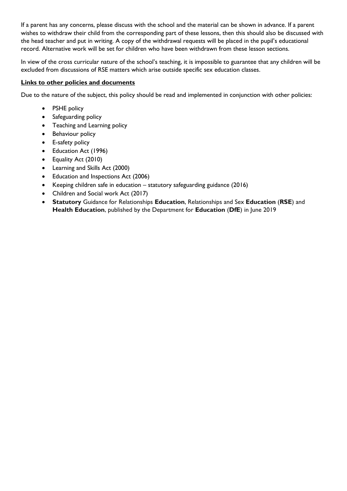If a parent has any concerns, please discuss with the school and the material can be shown in advance. If a parent wishes to withdraw their child from the corresponding part of these lessons, then this should also be discussed with the head teacher and put in writing. A copy of the withdrawal requests will be placed in the pupil's educational record. Alternative work will be set for children who have been withdrawn from these lesson sections.

In view of the cross curricular nature of the school's teaching, it is impossible to guarantee that any children will be excluded from discussions of RSE matters which arise outside specific sex education classes.

#### **Links to other policies and documents**

Due to the nature of the subject, this policy should be read and implemented in conjunction with other policies:

- PSHE policy
- Safeguarding policy
- Teaching and Learning policy
- Behaviour policy
- E-safety policy
- Education Act (1996)
- Equality Act (2010)
- Learning and Skills Act (2000)
- Education and Inspections Act (2006)
- Keeping children safe in education statutory safeguarding guidance (2016)
- Children and Social work Act (2017)
- **Statutory** Guidance for Relationships **Education**, Relationships and Sex **Education** (**RSE**) and **Health Education**, published by the Department for **Education** (**DfE**) in June 2019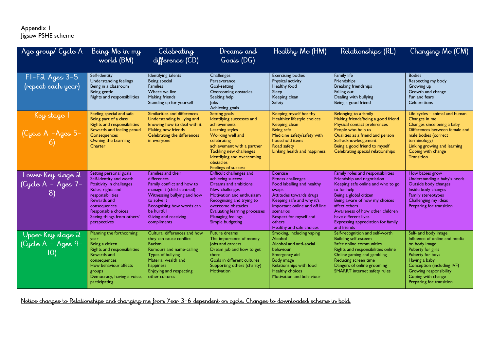#### Appendix 1 Jigsaw PSHE scheme

| Age group/ Cycle A                            | Being Me in my<br>world (BM)                                                                                                                                                                                                      | Celebrating<br>difference (CD)                                                                                                                                                                                               | Dreams and<br>Goals (DG)                                                                                                                                                                                                                                        | Healthy Me (HM)                                                                                                                                                                                                                                                  | Relationships (RL)                                                                                                                                                                                                                                                                                              | Changing Me (CM)                                                                                                                                                                                                                                  |
|-----------------------------------------------|-----------------------------------------------------------------------------------------------------------------------------------------------------------------------------------------------------------------------------------|------------------------------------------------------------------------------------------------------------------------------------------------------------------------------------------------------------------------------|-----------------------------------------------------------------------------------------------------------------------------------------------------------------------------------------------------------------------------------------------------------------|------------------------------------------------------------------------------------------------------------------------------------------------------------------------------------------------------------------------------------------------------------------|-----------------------------------------------------------------------------------------------------------------------------------------------------------------------------------------------------------------------------------------------------------------------------------------------------------------|---------------------------------------------------------------------------------------------------------------------------------------------------------------------------------------------------------------------------------------------------|
| $FI-F2$ Ages $3-5$<br>(repeat each year)      | Self-identity<br>Understanding feelings<br>Being in a classroom<br>Being gentle<br>Rights and responsibilities                                                                                                                    | Identifying talents<br>Being special<br><b>Families</b><br>Where we live<br>Making friends<br>Standing up for yourself                                                                                                       | <b>Challenges</b><br>Perseverance<br>Goal-setting<br>Overcoming obstacles<br>Seeking help<br>$\mathsf{lobs}$<br>Achieving goals                                                                                                                                 | <b>Exercising bodies</b><br>Physical activity<br>Healthy food<br>Sleep<br>Keeping clean<br>Safety                                                                                                                                                                | Family life<br>Friendships<br><b>Breaking friendships</b><br>Falling out<br>Dealing with bullying<br>Being a good friend                                                                                                                                                                                        | <b>Bodies</b><br>Respecting my body<br>Growing up<br>Growth and change<br>Fun and fears<br>Celebrations                                                                                                                                           |
| Key stage I<br>(Cycle A -Ages 5-              | Feeling special and safe<br>Being part of a class<br><b>Rights and responsibilities</b><br>Rewards and feeling proud<br>Consequences<br>Owning the Learning<br>Charter                                                            | Similarities and differences<br>Understanding bullying and<br>knowing how to deal with it<br>Making new friends<br>Celebrating the differences<br>in everyone                                                                | Setting goals<br>Identifying successes and<br>achievements<br>Learning styles<br>Working well and<br>celebrating<br>achievement with a partner<br>Tackling new challenges<br>Identifying and overcoming<br>obstacles<br><b>Feelings of success</b>              | Keeping myself healthy<br>Healthier lifestyle choices<br>Keeping clean<br>Being safe<br>Medicine safety/safety with<br>household items<br>Road safety<br>Linking health and happiness                                                                            | Belonging to a family<br>Making friends/being a good friend<br>Physical contact preferences<br>People who help us<br>Qualities as a friend and person<br>Self-acknowledgement<br>Being a good friend to myself<br>Celebrating special relationships                                                             | Life cycles - animal and human<br>Changes in me<br>Changes since being a baby<br>Differences between female and<br>male bodies (correct<br>terminology)<br>Linking growing and learning<br>Coping with change<br><b>Transition</b>                |
| Lower Key stage 2<br>(Cycle A - Ages 7-<br>8) | Setting personal goals<br>Self-identity and worth<br>Positivity in challenges<br>Rules, rights and<br>responsibilities<br>Rewards and<br>consequences<br><b>Responsible choices</b><br>Seeing things from others'<br>perspectives | Families and their<br>differences<br>Family conflict and how to<br>manage it (child-centred)<br>Witnessing bullying and how<br>to solve it<br>Recognising how words can<br>be hurtful<br>Giving and receiving<br>compliments | Difficult challenges and<br>achieving success<br>Dreams and ambitions<br>New challenges<br>Motivation and enthusiasm<br>Recognising and trying to<br>overcome obstacles<br><b>Evaluating learning processes</b><br><b>Managing feelings</b><br>Simple budgeting | <b>Exercise</b><br><b>Fitness challenges</b><br>Food labelling and healthy<br>swaps<br>Attitudes towards drugs<br>Keeping safe and why it's<br>important online and off line<br>scenarios<br>Respect for myself and<br><b>others</b><br>Healthy and safe choices | Family roles and responsibilities<br>Friendship and negotiation<br>Keeping safe online and who to go<br>to for help<br>Being a global citizen<br>Being aware of how my choices<br>affect others<br>Awareness of how other children<br>have different lives<br>Expressing appreciation for family<br>and friends | How babies grow<br>Understanding a baby's needs<br>Outside body changes<br>Inside body changes<br><b>Family stereotypes</b><br>Challenging my ideas<br>Preparing for transition                                                                   |
| Upper Key stage 2<br>(Cycle A - Ages 9-<br>IO | Planning the forthcoming<br>year<br>Being a citizen<br>Rights and responsibilities<br>Rewards and<br>consequences<br>How behaviour affects<br>groups<br>Democracy, having a voice,<br>participating                               | Cultural differences and how<br>they can cause conflict<br><b>Racism</b><br>Rumours and name-calling<br>Types of bullying<br>Material wealth and<br>happiness<br>Enjoying and respecting<br>other cultures                   | <b>Future dreams</b><br>The importance of money<br>lobs and careers<br>Dream job and how to get<br>there<br>Goals in different cultures<br>Supporting others (charity)<br><b>Motivation</b>                                                                     | Smoking, including vaping<br>Alcohol<br>Alcohol and anti-social<br>behaviour<br>Emergency aid<br>Body image<br>Relationships with food<br><b>Healthy choices</b><br>Motivation and behaviour                                                                     | Self-recognition and self-worth<br><b>Building self-esteem</b><br>Safer online communities<br>Rights and responsibilities online<br>Online gaming and gambling<br>Reducing screen time<br>Dangers of online grooming<br><b>SMARRT</b> internet safety rules                                                     | Self- and body image<br>Influence of online and media<br>on body image<br>Puberty for girls<br>Puberty for boys<br>Having a baby<br>Conception (including IVF)<br><b>Growing responsibility</b><br>Coping with change<br>Preparing for transition |

<u>Notice changes to Relationships and changing me from Year 3-6 dependent on cycle. Changes to downloaded scheme in bold.</u>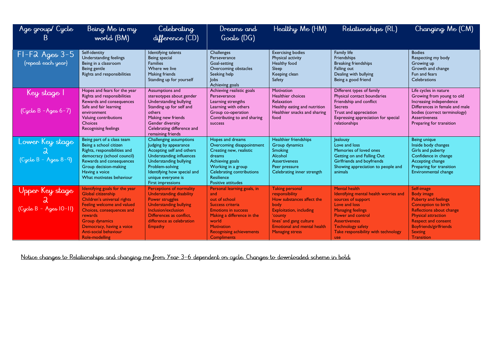| Age group/Cycle<br>B                         | Being Me in my<br>world (BM)                                                                                                                                                                                                                               | Celebrating<br>difference (CD)                                                                                                                                                                                                          | Dreams and<br>Goals (DG)                                                                                                                                                                                                   | Healthy Me (HM)                                                                                                                                                                                                       | Relationships (RL)                                                                                                                                                                                                                                             | Changing Me (CM)                                                                                                                                                                                                                                             |  |
|----------------------------------------------|------------------------------------------------------------------------------------------------------------------------------------------------------------------------------------------------------------------------------------------------------------|-----------------------------------------------------------------------------------------------------------------------------------------------------------------------------------------------------------------------------------------|----------------------------------------------------------------------------------------------------------------------------------------------------------------------------------------------------------------------------|-----------------------------------------------------------------------------------------------------------------------------------------------------------------------------------------------------------------------|----------------------------------------------------------------------------------------------------------------------------------------------------------------------------------------------------------------------------------------------------------------|--------------------------------------------------------------------------------------------------------------------------------------------------------------------------------------------------------------------------------------------------------------|--|
| $FI-F2$ Ages $3-5$<br>(repeat each year)     | Self-identity<br>Understanding feelings<br>Being in a classroom<br>Being gentle<br>Rights and responsibilities                                                                                                                                             | Identifying talents<br>Being special<br><b>Families</b><br>Where we live<br>Making friends<br>Standing up for yourself                                                                                                                  | Challenges<br>Perseverance<br>Goal-setting<br>Overcoming obstacles<br>Seeking help<br>$\mathsf{lobs}$<br>Achieving goals                                                                                                   | <b>Exercising bodies</b><br>Physical activity<br>Healthy food<br>Sleep<br>Keeping clean<br>Safety                                                                                                                     | Family life<br>Friendships<br><b>Breaking friendships</b><br>Falling out<br>Dealing with bullying<br>Being a good friend                                                                                                                                       | <b>Bodies</b><br>Respecting my body<br>Growing up<br>Growth and change<br>Fun and fears<br>Celebrations                                                                                                                                                      |  |
| Key stage I<br>$(Cycle B - Ages 6 - 7)$      | Hopes and fears for the year<br>Rights and responsibilities<br>Rewards and consequences<br>Safe and fair learning<br>environment<br>Valuing contributions<br><b>Choices</b><br><b>Recognising feelings</b>                                                 | Assumptions and<br>stereotypes about gender<br>Understanding bullying<br>Standing up for self and<br>others<br>Making new friends<br><b>Gender diversity</b><br>Celebrating difference and<br>remaining friends                         | Achieving realistic goals<br>Perseverance<br>Learning strengths<br>Learning with others<br>Group co-operation<br>Contributing to and sharing<br>success                                                                    | Motivation<br>Healthier choices<br>Relaxation<br>Healthy eating and nutrition<br>Healthier snacks and sharing<br>food                                                                                                 | Different types of family<br>Physical contact boundaries<br>Friendship and conflict<br><b>Secrets</b><br>Trust and appreciation<br>Expressing appreciation for special<br>relationships                                                                        | Life cycles in nature<br>Growing from young to old<br>Increasing independence<br>Differences in female and male<br>bodies (correct terminology)<br><b>Assertiveness</b><br>Preparing for transition                                                          |  |
| Lower Key stage<br>$(Cycle B - Ages 8-9)$    | Being part of a class team<br>Being a school citizen<br>Rights, responsibilities and<br>democracy (school council)<br>Rewards and consequences<br>Group decision-making<br>Having a voice<br>What motivates behaviour                                      | Challenging assumptions<br>Judging by appearance<br>Accepting self and others<br>Understanding influences<br>Understanding bullying<br>Problem-solving<br>Identifying how special and<br>unique everyone is<br><b>First impressions</b> | Hopes and dreams<br>Overcoming disappointment<br>Creating new, realistic<br>dreams<br>Achieving goals<br>Working in a group<br>Celebrating contributions<br>Resilience<br><b>Positive attitudes</b>                        | Healthier friendships<br>Group dynamics<br>Smoking<br>Alcohol<br><b>Assertiveness</b><br>Peer pressure<br>Celebrating inner strength                                                                                  | <b>lealousy</b><br>Love and loss<br>Memories of loved ones<br>Getting on and Falling Out<br>Girlfriends and boyfriends<br>Showing appreciation to people and<br>animals                                                                                        | Being unique<br>Inside body changes<br>Girls and puberty<br>Confidence in change<br>Accepting change<br>Preparing for transition<br>Environmental change                                                                                                     |  |
| Upper Key stage<br>$(Cycle B - Agees 10-11)$ | Identifying goals for the year<br>Global citizenship<br>Children's universal rights<br>Feeling welcome and valued<br>Choices, consequences and<br>rewards<br><b>Group dynamics</b><br>Democracy, having a voice<br>Anti-social behaviour<br>Role-modelling | <b>Perceptions of normality</b><br><b>Understanding disability</b><br><b>Power struggles</b><br><b>Understanding bullying</b><br>Inclusion/exclusion<br>Differences as conflict.<br>difference as celebration<br>Empathy                | Personal learning goals, in<br>and<br>out of school<br>Success criteria<br><b>Emotions in success</b><br>Making a difference in the<br>world<br><b>Motivation</b><br><b>Recognising achievements</b><br><b>Compliments</b> | <b>Taking personal</b><br>responsibility<br>How substances affect the<br>body<br><b>Exploitation, including</b><br>'county<br>lines' and gang culture<br><b>Emotional and mental health</b><br><b>Managing stress</b> | <b>Mental health</b><br>Identifying mental health worries and<br>sources of support<br>Love and loss<br><b>Managing feelings</b><br><b>Power and control</b><br><b>Assertiveness</b><br><b>Technology safety</b><br>Take responsibility with technology<br>use | Self-image<br><b>Body image</b><br><b>Puberty and feelings</b><br><b>Conception to birth</b><br>Reflections about change<br><b>Physical attraction</b><br><b>Respect and consent</b><br><b>Boyfriends/girlfriends</b><br><b>Sexting</b><br><b>Transition</b> |  |

Notice changes to Relationships and changing me from Year 3-6 dependent on cycle. Changes to downloaded scheme in bold,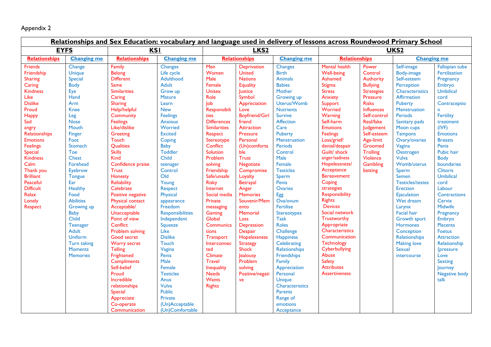# Appendix 2

| Relationships and Sex Education: vocabulary and language used in delivery of lessons across Roundwood Primary School                                                                                                                                                                                                                       |                                                                                                                                                                                                                                                                                                                                                                                                                |                                                                                                                                                                                                                                                                                                                                                                                                                                                                                                                                                                                                                                                      |                                                                                                                                                                                                                                                                                                                                                                                                                                                                                                                                                  |                                                                                                                                                                                                                                                                                                                                                                                                                                                                                            |                                                                                                                                                                                                                                                                                                                                                                                                                                                                                                                             |                                                                                                                                                                                                                                                                                                                                                                                                                                                                                                                                                                                                                     |                                                                                                                                                                                                                                                                                                                                                                                                                                                                                                                                                                                                   |                                                                                                                                                                                                                                                                             |                                                                                                                                                                                                                                                                                                                                                                                                                                                                                                                                      |                                                                                                                                                                                                                                                                                                                                                                                                                                                                                                           |
|--------------------------------------------------------------------------------------------------------------------------------------------------------------------------------------------------------------------------------------------------------------------------------------------------------------------------------------------|----------------------------------------------------------------------------------------------------------------------------------------------------------------------------------------------------------------------------------------------------------------------------------------------------------------------------------------------------------------------------------------------------------------|------------------------------------------------------------------------------------------------------------------------------------------------------------------------------------------------------------------------------------------------------------------------------------------------------------------------------------------------------------------------------------------------------------------------------------------------------------------------------------------------------------------------------------------------------------------------------------------------------------------------------------------------------|--------------------------------------------------------------------------------------------------------------------------------------------------------------------------------------------------------------------------------------------------------------------------------------------------------------------------------------------------------------------------------------------------------------------------------------------------------------------------------------------------------------------------------------------------|--------------------------------------------------------------------------------------------------------------------------------------------------------------------------------------------------------------------------------------------------------------------------------------------------------------------------------------------------------------------------------------------------------------------------------------------------------------------------------------------|-----------------------------------------------------------------------------------------------------------------------------------------------------------------------------------------------------------------------------------------------------------------------------------------------------------------------------------------------------------------------------------------------------------------------------------------------------------------------------------------------------------------------------|---------------------------------------------------------------------------------------------------------------------------------------------------------------------------------------------------------------------------------------------------------------------------------------------------------------------------------------------------------------------------------------------------------------------------------------------------------------------------------------------------------------------------------------------------------------------------------------------------------------------|---------------------------------------------------------------------------------------------------------------------------------------------------------------------------------------------------------------------------------------------------------------------------------------------------------------------------------------------------------------------------------------------------------------------------------------------------------------------------------------------------------------------------------------------------------------------------------------------------|-----------------------------------------------------------------------------------------------------------------------------------------------------------------------------------------------------------------------------------------------------------------------------|--------------------------------------------------------------------------------------------------------------------------------------------------------------------------------------------------------------------------------------------------------------------------------------------------------------------------------------------------------------------------------------------------------------------------------------------------------------------------------------------------------------------------------------|-----------------------------------------------------------------------------------------------------------------------------------------------------------------------------------------------------------------------------------------------------------------------------------------------------------------------------------------------------------------------------------------------------------------------------------------------------------------------------------------------------------|
| <b>EYFS</b><br><b>KSI</b>                                                                                                                                                                                                                                                                                                                  |                                                                                                                                                                                                                                                                                                                                                                                                                |                                                                                                                                                                                                                                                                                                                                                                                                                                                                                                                                                                                                                                                      | LKS <sub>2</sub>                                                                                                                                                                                                                                                                                                                                                                                                                                                                                                                                 |                                                                                                                                                                                                                                                                                                                                                                                                                                                                                            | <b>UKS2</b>                                                                                                                                                                                                                                                                                                                                                                                                                                                                                                                 |                                                                                                                                                                                                                                                                                                                                                                                                                                                                                                                                                                                                                     |                                                                                                                                                                                                                                                                                                                                                                                                                                                                                                                                                                                                   |                                                                                                                                                                                                                                                                             |                                                                                                                                                                                                                                                                                                                                                                                                                                                                                                                                      |                                                                                                                                                                                                                                                                                                                                                                                                                                                                                                           |
| Relationships                                                                                                                                                                                                                                                                                                                              | <b>Changing me</b>                                                                                                                                                                                                                                                                                                                                                                                             | <b>Relationships</b>                                                                                                                                                                                                                                                                                                                                                                                                                                                                                                                                                                                                                                 | <b>Changing me</b>                                                                                                                                                                                                                                                                                                                                                                                                                                                                                                                               | <b>Relationships</b><br><b>Changing me</b>                                                                                                                                                                                                                                                                                                                                                                                                                                                 |                                                                                                                                                                                                                                                                                                                                                                                                                                                                                                                             | <b>Relationships</b>                                                                                                                                                                                                                                                                                                                                                                                                                                                                                                                                                                                                |                                                                                                                                                                                                                                                                                                                                                                                                                                                                                                                                                                                                   | <b>Changing me</b>                                                                                                                                                                                                                                                          |                                                                                                                                                                                                                                                                                                                                                                                                                                                                                                                                      |                                                                                                                                                                                                                                                                                                                                                                                                                                                                                                           |
| <b>Friends</b><br>Friendship<br><b>Sharing</b><br>Caring<br><b>Kindness</b><br>Like<br><b>Dislike</b><br>Proud<br>Happy<br>Sad<br>angry<br>Relationships<br><b>Emotions</b><br><b>Feelings</b><br><b>Special</b><br><b>Kindness</b><br>Calm<br>Thank you<br><b>Brilliant</b><br>Peaceful<br><b>Difficult</b><br>Relax<br>Lonely<br>Respect | Change<br><b>Unique</b><br>Special<br><b>Body</b><br>Eye<br>Hand<br>Arm<br><b>Knee</b><br>Leg<br><b>Nose</b><br>Mouth<br>Finger<br>Foot<br>Stomach<br>Toe<br><b>Chest</b><br>Forehead<br>Eyebrow<br><b>Tongue</b><br>Ear<br>Healthy<br>Food<br><b>Abilities</b><br>Growing up<br><b>Baby</b><br>Child<br><b>Teenager</b><br><b>Adult</b><br><b>Uniform</b><br>Turn taking<br><b>Moments</b><br><b>Memories</b> | Family<br>Belong<br><b>Different</b><br>Same<br><b>Similarities</b><br>Caring<br><b>Sharing</b><br>Help/helpful<br>Community<br><b>Feelings</b><br>Like/dislike<br><b>Greeting</b><br>Touch<br>Qualities<br><b>Skills</b><br><b>Kind</b><br>Confidence praise<br><b>Trust</b><br>Honesty<br><b>Reliability</b><br>Celebrate<br>Positive negative<br>Physical contact<br>Acceptable/<br>Unacceptable<br>Point of view<br>Conflict<br>Problem solving<br>Good secret<br><b>Worry secret</b><br><b>Telling</b><br>Frightened<br><b>Compliments</b><br>Self-belief<br>Proud<br>Incredible<br>relationships<br><b>Special</b><br>Appreciate<br>Co-operate | <b>Changes</b><br>Life cycle<br>Adulthood<br><b>Adult</b><br>Grow up<br><b>Mature</b><br>Learn<br><b>New</b><br><b>Feelings</b><br><b>Anxious</b><br>Worried<br><b>Excited</b><br>Coping<br><b>Baby</b><br><b>Toddler</b><br>Child<br>teenager<br>Control<br>Old<br>Young<br>Respect<br>Physical<br>appearance<br>Freedom<br><b>Responsibilities</b><br>Independent<br>Squeeze<br>Like<br><b>Dislike</b><br><b>Touch</b><br>Vagina<br>Penis<br>Male<br>Female<br><b>Testicles</b><br>Anus<br>Vulva<br><b>Public</b><br>Private<br>(Un)Acceptable | Men<br>Women<br>Male<br>Female<br><b>Unisex</b><br>Role<br>Job<br>Responsibili<br>ties<br><b>Differences</b><br><b>Similarities</b><br>Respect<br>Stereotype<br>Conflict<br>Solution<br>Problem<br>solving<br>Friendship<br>Safe/unsafe<br><b>Risky</b><br>Internet<br>Social media<br>Private<br>messaging<br>Gaming<br>Global<br>Communica<br>tions<br><b>Transport</b><br>Interconnec<br>ted<br>Climate<br><b>Travel</b><br><b>Inequality</b><br><b>Needs</b><br>Wants<br><b>Rights</b> | <b>Deprivation</b><br><b>United</b><br><b>Nations</b><br><b>Equality</b><br>Justice<br>Symbol<br>Appreciation<br>Love<br><b>Boyfriend/Girl</b><br>friend<br><b>Attraction</b><br>Pressure<br>Personal<br>(Un)comforta<br>ble<br><b>Trust</b><br>Negotiate<br>Compromise<br>Loyalty<br><b>Betrayal</b><br>Anger<br><b>Memories</b><br>Souvenir/Mem<br>ento<br>Memorial<br>Loss<br>Depression<br><b>Despair</b><br>Hopelessness<br><b>Strategy</b><br><b>Shock</b><br>Jealousy<br>Problem<br>solving<br>Positive/negati<br>ve | <b>Changes</b><br><b>Birth</b><br><b>Animals</b><br><b>Babies</b><br>Mother<br>Growing up<br>Uterus/Womb<br><b>Nutrients</b><br><b>Survive</b><br>Affection<br>Care<br><b>Puberty</b><br>Menstruation<br>Periods<br>Control<br>Male<br>Female<br><b>Testicles</b><br>Sperm<br>Penis<br><b>Ovaries</b><br>Egg<br>Ova/ovum<br><b>Fertilise</b><br>Stereotypes<br><b>Task</b><br><b>Roles</b><br><b>Challenge</b><br><b>Happiness</b><br>Celebrating<br>Relationships<br><b>Friendships</b><br><b>Family</b><br>Appreciation<br>Personal<br><b>Unique</b><br>Characteristics<br><b>Parents</b><br>Range of<br>emotions | <b>Mental health</b><br><b>Well-being</b><br>Ashamed<br>Stigma<br><b>Stress</b><br>Anxiety<br>Support<br>Worried<br>Warning<br>Self-harm<br><b>Emotions</b><br><b>Feelings</b><br>Loss/grief/<br>denial/despair<br>Guilt/ shock<br>anger/sadness<br>Hopelessness/<br>Acceptance<br><b>Bereavement</b><br>Coping<br>strategies<br><b>Responsibility</b><br><b>Rights</b><br><b>Devices</b><br>Social network<br>Trustworthy<br>Appropriate<br><b>Characteristics</b><br>Communication<br><b>Technology</b><br>Cyberbullying<br>Abuse<br><b>Safety</b><br><b>Attributes</b><br><b>Assertiveness</b> | Power<br>Control<br><b>Authority</b><br><b>Bullying</b><br><b>Strategies</b><br>Pressure<br><b>Risks</b><br><b>Influences</b><br>Self-control<br>Real/fake<br>Judgement<br>Self-esteem<br>Age-limit<br>Groomed<br><b>Trolling</b><br>Violence<br><b>Gambling</b><br>betting | Self-image<br>Body-image<br>Self-esteem<br>Perception<br><b>Characteristics</b><br>Affirmation<br><b>Puberty</b><br><b>Menstruation</b><br>Periods<br>Sanitary pads<br>Moon cups<br><b>Tampons</b><br>Ovary/ovaries<br>Vagina<br>Oestrogen<br><b>Vulva</b><br>Womb/uterus<br>Sperm<br>Semen<br><b>Testicles/testes</b><br><b>Erection</b><br><b>Ejaculation</b><br>Wet dream<br>Larynx<br><b>Facial hair</b><br><b>Growth spurt</b><br><b>Hormones</b><br>Conception<br>Relationships<br><b>Making love</b><br>Sexual<br>intercourse | Fallopian tube<br>Fertilisation<br>Pregnancy<br>Embryo<br>Umbilical<br>cord<br>Contraceptio<br>$\mathsf{n}$<br>Fertility<br>treatment<br>(IVF)<br><b>Emotions</b><br><b>Breasts</b><br><b>Penis</b><br>Pubic hair<br><b>Body</b><br>boundaries<br><b>Clitoris</b><br>Umbilical<br>cord<br>Labour<br>Contractions<br>Cervix<br>Midwife<br>Pregnancy<br>Embryo<br>Placenta<br>Foetus<br><b>Attraction</b><br>Relationship<br>{pressure<br>Love<br><b>Sexting</b><br><b>lourney</b><br>Negative body<br>talk |
|                                                                                                                                                                                                                                                                                                                                            |                                                                                                                                                                                                                                                                                                                                                                                                                | Communication                                                                                                                                                                                                                                                                                                                                                                                                                                                                                                                                                                                                                                        | (Un)Comfortable                                                                                                                                                                                                                                                                                                                                                                                                                                                                                                                                  |                                                                                                                                                                                                                                                                                                                                                                                                                                                                                            |                                                                                                                                                                                                                                                                                                                                                                                                                                                                                                                             | Acceptance                                                                                                                                                                                                                                                                                                                                                                                                                                                                                                                                                                                                          |                                                                                                                                                                                                                                                                                                                                                                                                                                                                                                                                                                                                   |                                                                                                                                                                                                                                                                             |                                                                                                                                                                                                                                                                                                                                                                                                                                                                                                                                      |                                                                                                                                                                                                                                                                                                                                                                                                                                                                                                           |